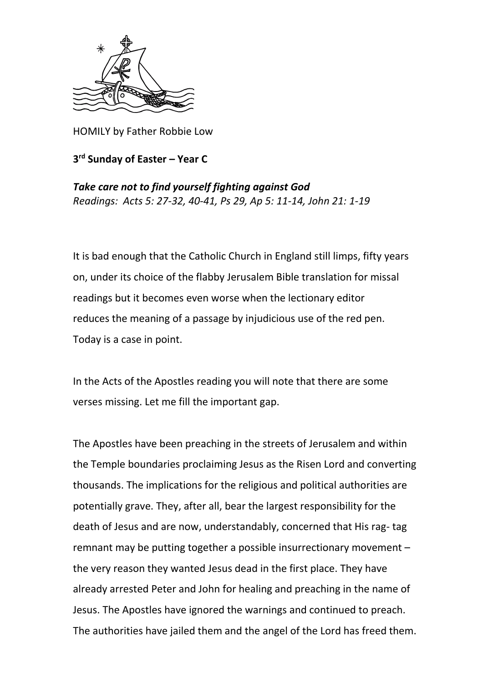

HOMILY by Father Robbie Low

## **3 rd Sunday of Easter – Year C**

*Take care not to find yourself fighting against God Readings: Acts 5: 27-32, 40-41, Ps 29, Ap 5: 11-14, John 21: 1-19*

It is bad enough that the Catholic Church in England still limps, fifty years on, under its choice of the flabby Jerusalem Bible translation for missal readings but it becomes even worse when the lectionary editor reduces the meaning of a passage by injudicious use of the red pen. Today is a case in point.

In the Acts of the Apostles reading you will note that there are some verses missing. Let me fill the important gap.

The Apostles have been preaching in the streets of Jerusalem and within the Temple boundaries proclaiming Jesus as the Risen Lord and converting thousands. The implications for the religious and political authorities are potentially grave. They, after all, bear the largest responsibility for the death of Jesus and are now, understandably, concerned that His rag- tag remnant may be putting together a possible insurrectionary movement – the very reason they wanted Jesus dead in the first place. They have already arrested Peter and John for healing and preaching in the name of Jesus. The Apostles have ignored the warnings and continued to preach. The authorities have jailed them and the angel of the Lord has freed them.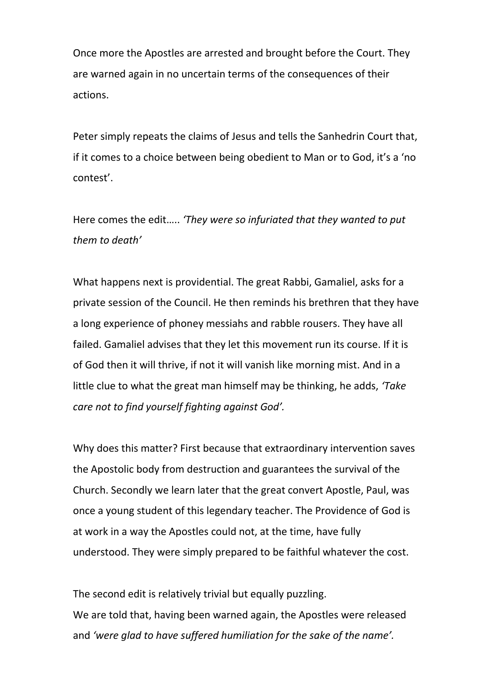Once more the Apostles are arrested and brought before the Court. They are warned again in no uncertain terms of the consequences of their actions.

Peter simply repeats the claims of Jesus and tells the Sanhedrin Court that, if it comes to a choice between being obedient to Man or to God, it's a 'no contest'.

Here comes the edit….. *'They were so infuriated that they wanted to put them to death'*

What happens next is providential. The great Rabbi, Gamaliel, asks for a private session of the Council. He then reminds his brethren that they have a long experience of phoney messiahs and rabble rousers. They have all failed. Gamaliel advises that they let this movement run its course. If it is of God then it will thrive, if not it will vanish like morning mist. And in a little clue to what the great man himself may be thinking, he adds, *'Take care not to find yourself fighting against God'.*

Why does this matter? First because that extraordinary intervention saves the Apostolic body from destruction and guarantees the survival of the Church. Secondly we learn later that the great convert Apostle, Paul, was once a young student of this legendary teacher. The Providence of God is at work in a way the Apostles could not, at the time, have fully understood. They were simply prepared to be faithful whatever the cost.

The second edit is relatively trivial but equally puzzling. We are told that, having been warned again, the Apostles were released and *'were glad to have suffered humiliation for the sake of the name'.*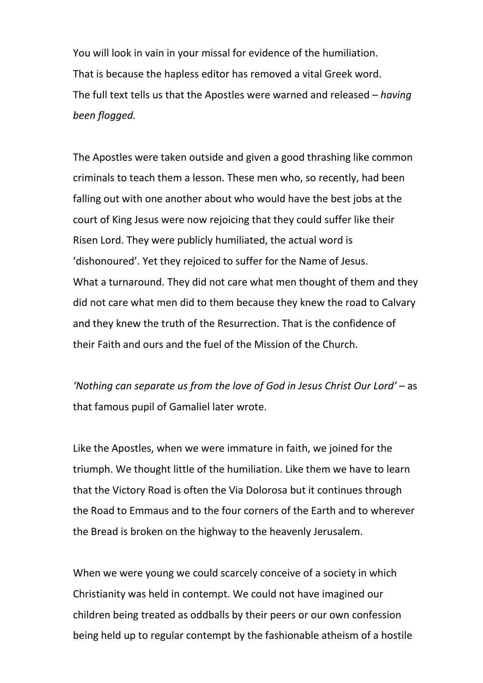You will look in vain in your missal for evidence of the humiliation. That is because the hapless editor has removed a vital Greek word. The full text tells us that the Apostles were warned and released – *having been flogged.*

The Apostles were taken outside and given a good thrashing like common criminals to teach them a lesson. These men who, so recently, had been falling out with one another about who would have the best jobs at the court of King Jesus were now rejoicing that they could suffer like their Risen Lord. They were publicly humiliated, the actual word is 'dishonoured'. Yet they rejoiced to suffer for the Name of Jesus. What a turnaround. They did not care what men thought of them and they did not care what men did to them because they knew the road to Calvary and they knew the truth of the Resurrection. That is the confidence of their Faith and ours and the fuel of the Mission of the Church.

*'Nothing can separate us from the love of God in Jesus Christ Our Lord'* – as that famous pupil of Gamaliel later wrote.

Like the Apostles, when we were immature in faith, we joined for the triumph. We thought little of the humiliation. Like them we have to learn that the Victory Road is often the Via Dolorosa but it continues through the Road to Emmaus and to the four corners of the Earth and to wherever the Bread is broken on the highway to the heavenly Jerusalem.

When we were young we could scarcely conceive of a society in which Christianity was held in contempt. We could not have imagined our children being treated as oddballs by their peers or our own confession being held up to regular contempt by the fashionable atheism of a hostile